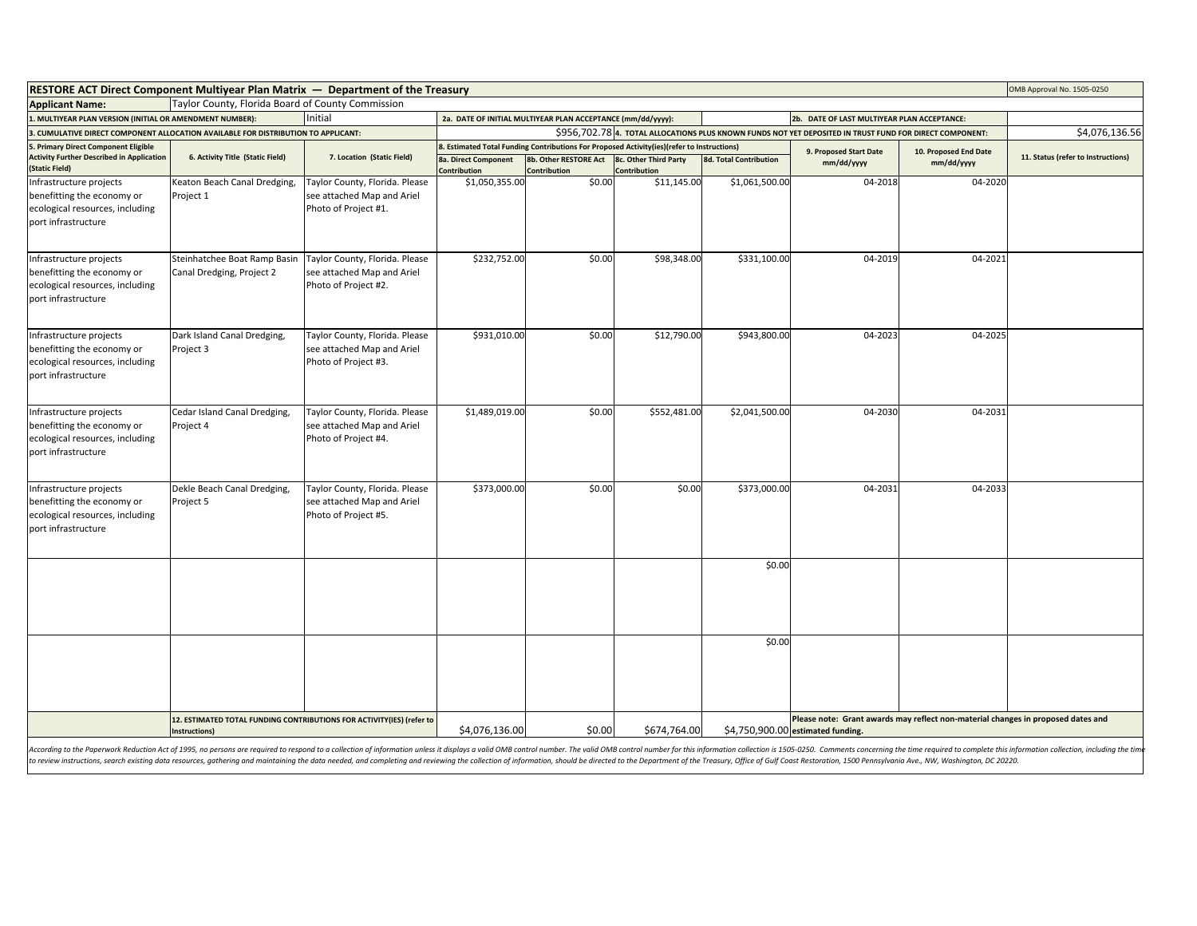| <b>RESTORE ACT Direct Component Multiyear Plan Matrix — Department of the Treasury</b><br>OMB Approval No. 1505-0250                                                                                                           |                                                                                        |                                                                                      |                                                                                                            |                                       |                               |                        |                                                                                                                       |                                    |  |
|--------------------------------------------------------------------------------------------------------------------------------------------------------------------------------------------------------------------------------|----------------------------------------------------------------------------------------|--------------------------------------------------------------------------------------|------------------------------------------------------------------------------------------------------------|---------------------------------------|-------------------------------|------------------------|-----------------------------------------------------------------------------------------------------------------------|------------------------------------|--|
| Taylor County, Florida Board of County Commission<br><b>Applicant Name:</b>                                                                                                                                                    |                                                                                        |                                                                                      |                                                                                                            |                                       |                               |                        |                                                                                                                       |                                    |  |
| 1. MULTIYEAR PLAN VERSION (INITIAL OR AMENDMENT NUMBER):<br>Initial                                                                                                                                                            |                                                                                        |                                                                                      | 2a. DATE OF INITIAL MULTIYEAR PLAN ACCEPTANCE (mm/dd/yyyy):<br>2b. DATE OF LAST MULTIYEAR PLAN ACCEPTANCE: |                                       |                               |                        |                                                                                                                       |                                    |  |
| 3. CUMULATIVE DIRECT COMPONENT ALLOCATION AVAILABLE FOR DISTRIBUTION TO APPLICANT:                                                                                                                                             |                                                                                        |                                                                                      | \$956,702.78 4. TOTAL ALLOCATIONS PLUS KNOWN FUNDS NOT YET DEPOSITED IN TRUST FUND FOR DIRECT COMPONENT:   |                                       |                               |                        |                                                                                                                       |                                    |  |
| 5. Primary Direct Component Eligible                                                                                                                                                                                           |                                                                                        | 7. Location (Static Field)                                                           | 8. Estimated Total Funding Contributions For Proposed Activity(ies)(refer to Instructions)                 |                                       |                               | 9. Proposed Start Date |                                                                                                                       |                                    |  |
| <b>Activity Further Described in Application</b><br>6. Activity Title (Static Field)<br>(Static Field)                                                                                                                         | <b>8a. Direct Component</b><br>Contribution                                            |                                                                                      | 8b. Other RESTORE Act<br>Contribution                                                                      | 8c. Other Third Party<br>Contribution | <b>8d. Total Contribution</b> | mm/dd/yyyy             | 10. Proposed End Date<br>mm/dd/yyyy                                                                                   | 11. Status (refer to Instructions) |  |
| Infrastructure projects<br>benefitting the economy or<br>ecological resources, including<br>port infrastructure                                                                                                                | Keaton Beach Canal Dredging,<br>Project 1                                              | Taylor County, Florida. Please<br>see attached Map and Ariel<br>Photo of Project #1. | \$1,050,355.00                                                                                             | \$0.00                                | \$11,145.00                   | \$1,061,500.00         | 04-2018                                                                                                               | 04-2020                            |  |
| Infrastructure projects<br>benefitting the economy or<br>ecological resources, including<br>port infrastructure                                                                                                                | Steinhatchee Boat Ramp Basin<br>Canal Dredging, Project 2                              | Taylor County, Florida. Please<br>see attached Map and Ariel<br>Photo of Project #2. | \$232,752.00                                                                                               | \$0.00                                | \$98,348.00                   | \$331,100.00           | 04-2019                                                                                                               | 04-2021                            |  |
| Infrastructure projects<br>benefitting the economy or<br>ecological resources, including<br>port infrastructure                                                                                                                | Dark Island Canal Dredging,<br>Project 3                                               | Taylor County, Florida. Please<br>see attached Map and Ariel<br>Photo of Project #3. | \$931,010.00                                                                                               | \$0.00                                | \$12,790.00                   | \$943,800.00           | 04-2023                                                                                                               | 04-2025                            |  |
| Infrastructure projects<br>benefitting the economy or<br>ecological resources, including<br>port infrastructure                                                                                                                | Cedar Island Canal Dredging,<br>Project 4                                              | Taylor County, Florida. Please<br>see attached Map and Ariel<br>Photo of Project #4. | \$1,489,019.00                                                                                             | \$0.00                                | \$552,481.00                  | \$2,041,500.00         | 04-2030                                                                                                               | 04-2031                            |  |
| Infrastructure projects<br>benefitting the economy or<br>ecological resources, including<br>port infrastructure                                                                                                                | Dekle Beach Canal Dredging,<br>Project 5                                               | Taylor County, Florida. Please<br>see attached Map and Ariel<br>Photo of Project #5. | \$373,000.00                                                                                               | \$0.00                                | \$0.00                        | \$373,000.00           | 04-2031                                                                                                               | 04-2033                            |  |
|                                                                                                                                                                                                                                |                                                                                        |                                                                                      |                                                                                                            |                                       |                               | \$0.00                 |                                                                                                                       |                                    |  |
|                                                                                                                                                                                                                                |                                                                                        |                                                                                      |                                                                                                            |                                       |                               | \$0.00                 |                                                                                                                       |                                    |  |
| According to the Paperwork Reduction Act of 1995, no persons are required to respond to a collection of information unless it displays a valid OMB control number. The valid OMB control number for this information collectio | 12. ESTIMATED TOTAL FUNDING CONTRIBUTIONS FOR ACTIVITY(IES) (refer to<br>Instructions) |                                                                                      | \$4,076,136.00                                                                                             | \$0.00                                | \$674,764.00                  |                        | Please note: Grant awards may reflect non-material changes in proposed dates and<br>\$4,750,900.00 estimated funding. |                                    |  |

According to the Paperwork Reduction Act of 1995, no persons are required to respond to a collection of information unless it displays a valid OMB control number. The valid OMB control number for this information is 105-02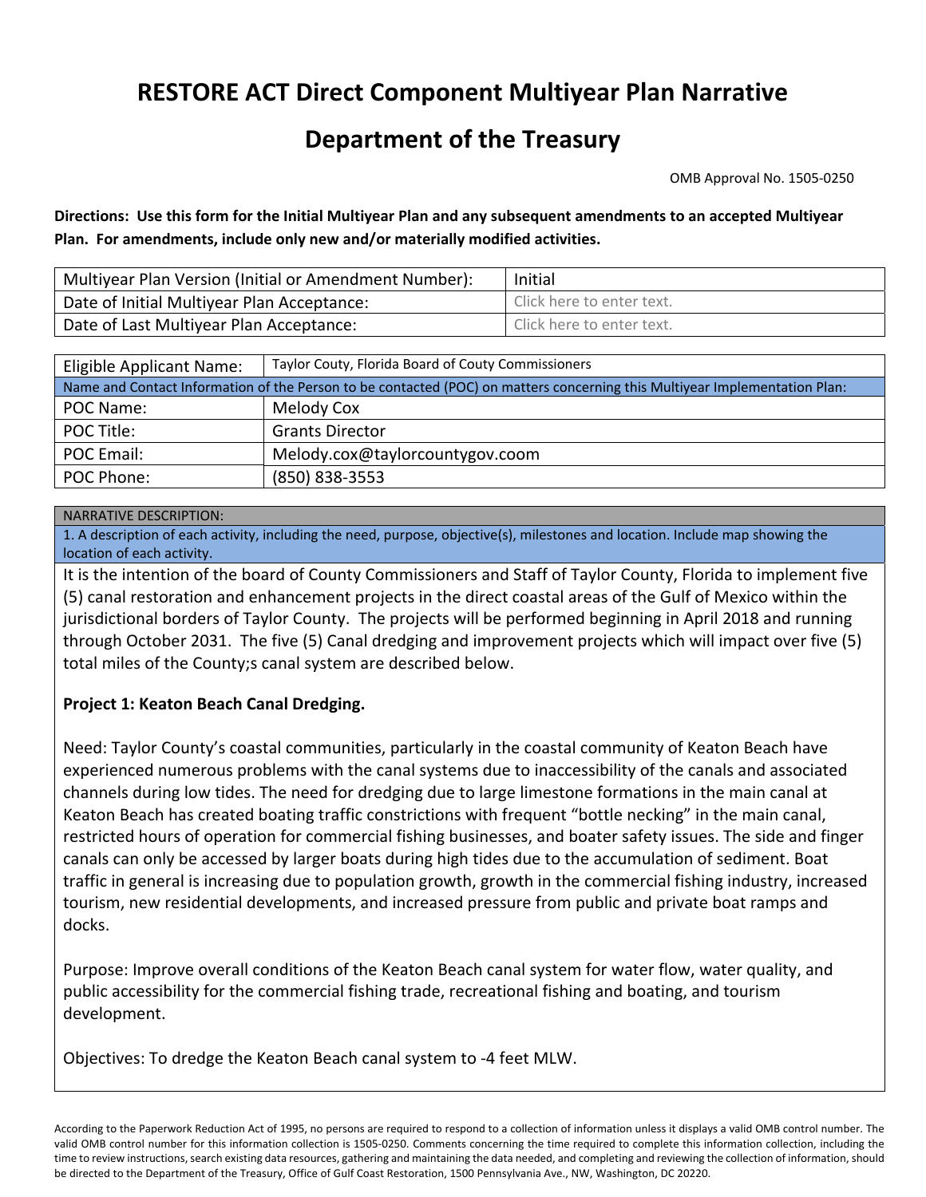# **RESTORE ACT Direct Component Multiyear Plan Narrative**

# **Department of the Treasury**

OMB Approval No. 1505‐0250

Directions: Use this form for the Initial Multiyear Plan and any subsequent amendments to an accepted Multiyear **Plan. For amendments, include only new and/or materially modified activities.**

| Multiyear Plan Version (Initial or Amendment Number): | Initial                   |  |  |
|-------------------------------------------------------|---------------------------|--|--|
| Date of Initial Multiyear Plan Acceptance:            | Click here to enter text. |  |  |
| Date of Last Multiyear Plan Acceptance:               | Click here to enter text. |  |  |

| Eligible Applicant Name:                                                                                                   | Taylor Couty, Florida Board of Couty Commissioners |  |  |  |
|----------------------------------------------------------------------------------------------------------------------------|----------------------------------------------------|--|--|--|
| Name and Contact Information of the Person to be contacted (POC) on matters concerning this Multiyear Implementation Plan: |                                                    |  |  |  |
| POC Name:                                                                                                                  | Melody Cox                                         |  |  |  |
| POC Title:                                                                                                                 | <b>Grants Director</b>                             |  |  |  |
| POC Email:                                                                                                                 | Melody.cox@taylorcountygov.coom                    |  |  |  |
| POC Phone:                                                                                                                 | (850) 838-3553                                     |  |  |  |

#### NARRATIVE DESCRIPTION:

1. A description of each activity, including the need, purpose, objective(s), milestones and location. Include map showing the location of each activity.

It is the intention of the board of County Commissioners and Staff of Taylor County, Florida to implement five (5) canal restoration and enhancement projects in the direct coastal areas of the Gulf of Mexico within the jurisdictional borders of Taylor County. The projects will be performed beginning in April 2018 and running through October 2031. The five (5) Canal dredging and improvement projects which will impact over five (5) total miles of the County;s canal system are described below.

#### **Project 1: Keaton Beach Canal Dredging.**

Need: Taylor County's coastal communities, particularly in the coastal community of Keaton Beach have experienced numerous problems with the canal systems due to inaccessibility of the canals and associated channels during low tides. The need for dredging due to large limestone formations in the main canal at Keaton Beach has created boating traffic constrictions with frequent "bottle necking" in the main canal, restricted hours of operation for commercial fishing businesses, and boater safety issues. The side and finger canals can only be accessed by larger boats during high tides due to the accumulation of sediment. Boat traffic in general is increasing due to population growth, growth in the commercial fishing industry, increased tourism, new residential developments, and increased pressure from public and private boat ramps and docks.

Purpose: Improve overall conditions of the Keaton Beach canal system for water flow, water quality, and public accessibility for the commercial fishing trade, recreational fishing and boating, and tourism development.

Objectives: To dredge the Keaton Beach canal system to ‐4 feet MLW.

According to the Paperwork Reduction Act of 1995, no persons are required to respond to a collection of information unless it displays a valid OMB control number. The valid OMB control number for this information collection is 1505‐0250. Comments concerning the time required to complete this information collection, including the time to review instructions, search existing data resources, gathering and maintaining the data needed, and completing and reviewing the collection of information, should be directed to the Department of the Treasury, Office of Gulf Coast Restoration, 1500 Pennsylvania Ave., NW, Washington, DC 20220.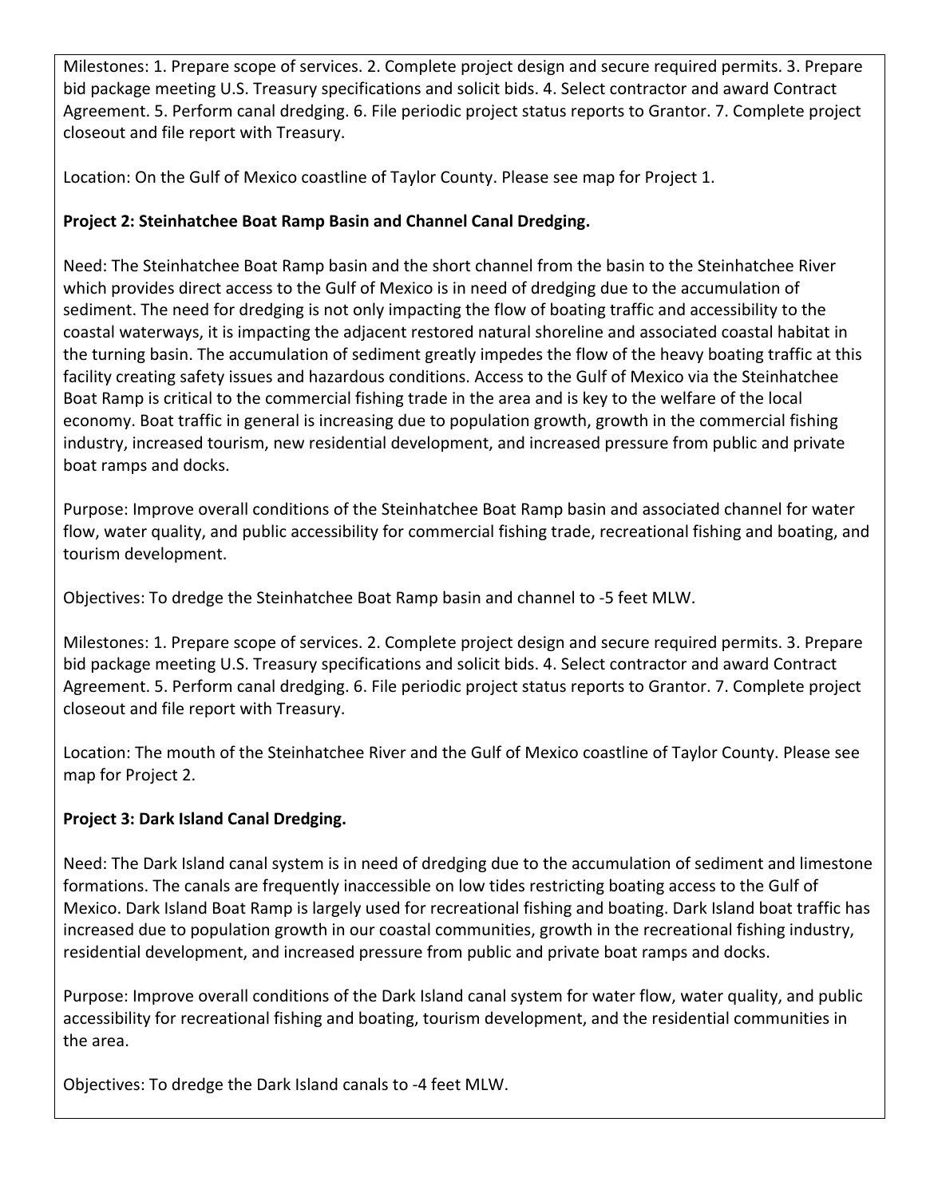Milestones: 1. Prepare scope of services. 2. Complete project design and secure required permits. 3. Prepare bid package meeting U.S. Treasury specifications and solicit bids. 4. Select contractor and award Contract Agreement. 5. Perform canal dredging. 6. File periodic project status reports to Grantor. 7. Complete project closeout and file report with Treasury.

Location: On the Gulf of Mexico coastline of Taylor County. Please see map for Project 1.

# **Project 2: Steinhatchee Boat Ramp Basin and Channel Canal Dredging.**

Need: The Steinhatchee Boat Ramp basin and the short channel from the basin to the Steinhatchee River which provides direct access to the Gulf of Mexico is in need of dredging due to the accumulation of sediment. The need for dredging is not only impacting the flow of boating traffic and accessibility to the coastal waterways, it is impacting the adjacent restored natural shoreline and associated coastal habitat in the turning basin. The accumulation of sediment greatly impedes the flow of the heavy boating traffic at this facility creating safety issues and hazardous conditions. Access to the Gulf of Mexico via the Steinhatchee Boat Ramp is critical to the commercial fishing trade in the area and is key to the welfare of the local economy. Boat traffic in general is increasing due to population growth, growth in the commercial fishing industry, increased tourism, new residential development, and increased pressure from public and private boat ramps and docks.

Purpose: Improve overall conditions of the Steinhatchee Boat Ramp basin and associated channel for water flow, water quality, and public accessibility for commercial fishing trade, recreational fishing and boating, and tourism development.

Objectives: To dredge the Steinhatchee Boat Ramp basin and channel to ‐5 feet MLW.

Milestones: 1. Prepare scope of services. 2. Complete project design and secure required permits. 3. Prepare bid package meeting U.S. Treasury specifications and solicit bids. 4. Select contractor and award Contract Agreement. 5. Perform canal dredging. 6. File periodic project status reports to Grantor. 7. Complete project closeout and file report with Treasury.

Location: The mouth of the Steinhatchee River and the Gulf of Mexico coastline of Taylor County. Please see map for Project 2.

# **Project 3: Dark Island Canal Dredging.**

Need: The Dark Island canal system is in need of dredging due to the accumulation of sediment and limestone formations. The canals are frequently inaccessible on low tides restricting boating access to the Gulf of Mexico. Dark Island Boat Ramp is largely used for recreational fishing and boating. Dark Island boat traffic has increased due to population growth in our coastal communities, growth in the recreational fishing industry, residential development, and increased pressure from public and private boat ramps and docks.

Purpose: Improve overall conditions of the Dark Island canal system for water flow, water quality, and public accessibility for recreational fishing and boating, tourism development, and the residential communities in the area.

Objectives: To dredge the Dark Island canals to ‐4 feet MLW.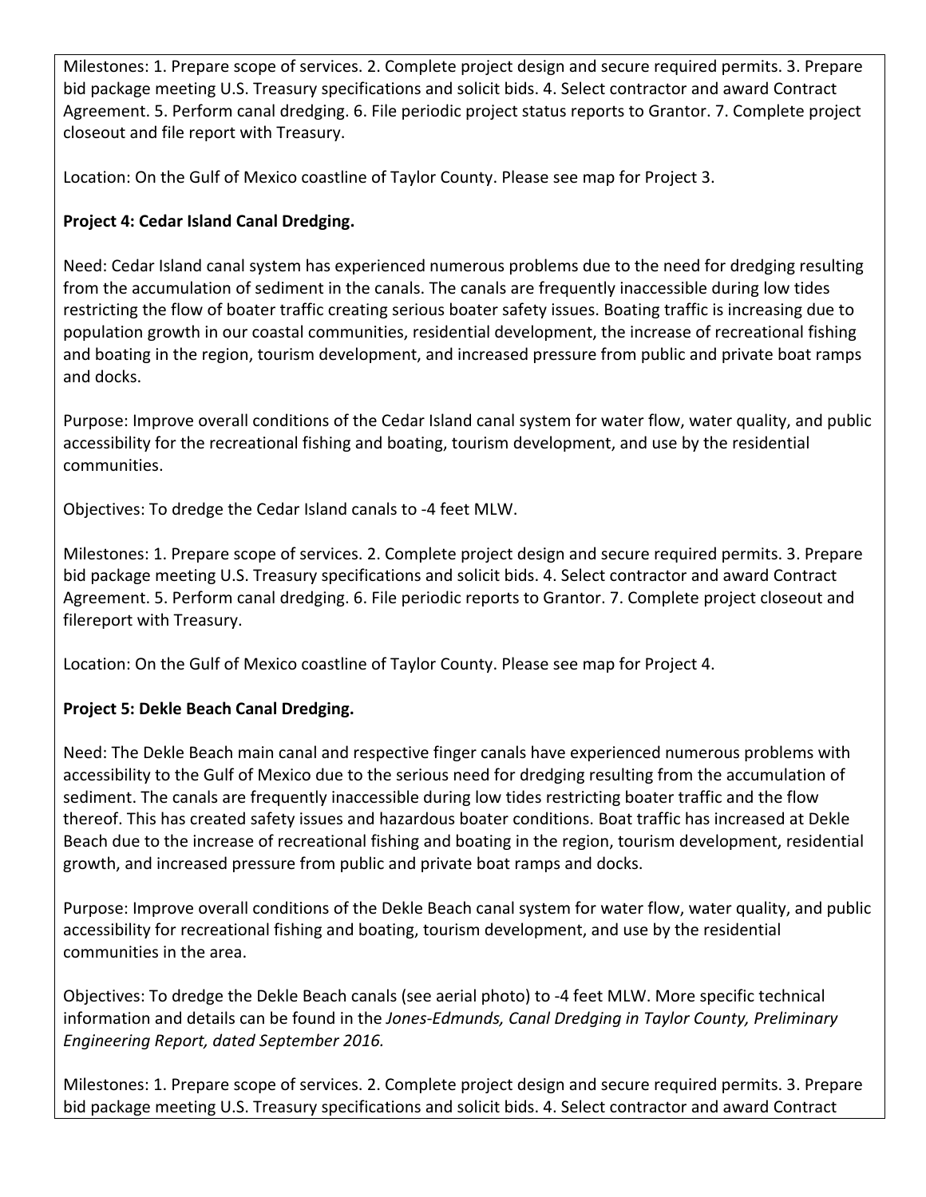Milestones: 1. Prepare scope of services. 2. Complete project design and secure required permits. 3. Prepare bid package meeting U.S. Treasury specifications and solicit bids. 4. Select contractor and award Contract Agreement. 5. Perform canal dredging. 6. File periodic project status reports to Grantor. 7. Complete project closeout and file report with Treasury.

Location: On the Gulf of Mexico coastline of Taylor County. Please see map for Project 3.

# **Project 4: Cedar Island Canal Dredging.**

Need: Cedar Island canal system has experienced numerous problems due to the need for dredging resulting from the accumulation of sediment in the canals. The canals are frequently inaccessible during low tides restricting the flow of boater traffic creating serious boater safety issues. Boating traffic is increasing due to population growth in our coastal communities, residential development, the increase of recreational fishing and boating in the region, tourism development, and increased pressure from public and private boat ramps and docks.

Purpose: Improve overall conditions of the Cedar Island canal system for water flow, water quality, and public accessibility for the recreational fishing and boating, tourism development, and use by the residential communities.

Objectives: To dredge the Cedar Island canals to ‐4 feet MLW.

Milestones: 1. Prepare scope of services. 2. Complete project design and secure required permits. 3. Prepare bid package meeting U.S. Treasury specifications and solicit bids. 4. Select contractor and award Contract Agreement. 5. Perform canal dredging. 6. File periodic reports to Grantor. 7. Complete project closeout and filereport with Treasury.

Location: On the Gulf of Mexico coastline of Taylor County. Please see map for Project 4.

# **Project 5: Dekle Beach Canal Dredging.**

Need: The Dekle Beach main canal and respective finger canals have experienced numerous problems with accessibility to the Gulf of Mexico due to the serious need for dredging resulting from the accumulation of sediment. The canals are frequently inaccessible during low tides restricting boater traffic and the flow thereof. This has created safety issues and hazardous boater conditions. Boat traffic has increased at Dekle Beach due to the increase of recreational fishing and boating in the region, tourism development, residential growth, and increased pressure from public and private boat ramps and docks.

Purpose: Improve overall conditions of the Dekle Beach canal system for water flow, water quality, and public accessibility for recreational fishing and boating, tourism development, and use by the residential communities in the area.

Objectives: To dredge the Dekle Beach canals (see aerial photo) to ‐4 feet MLW. More specific technical information and details can be found in the *Jones‐Edmunds, Canal Dredging in Taylor County, Preliminary Engineering Report, dated September 2016.*

Milestones: 1. Prepare scope of services. 2. Complete project design and secure required permits. 3. Prepare bid package meeting U.S. Treasury specifications and solicit bids. 4. Select contractor and award Contract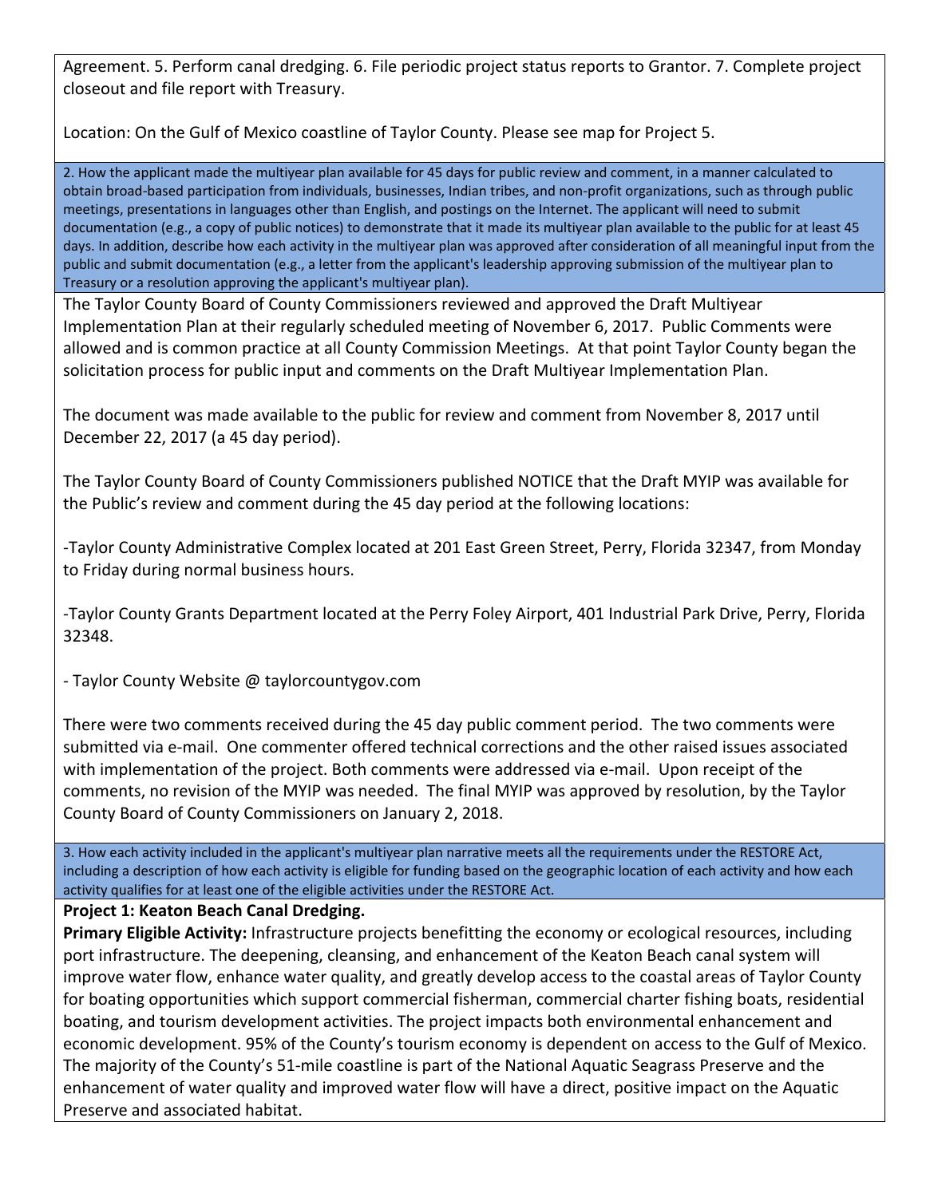Agreement. 5. Perform canal dredging. 6. File periodic project status reports to Grantor. 7. Complete project closeout and file report with Treasury.

Location: On the Gulf of Mexico coastline of Taylor County. Please see map for Project 5.

2. How the applicant made the multiyear plan available for 45 days for public review and comment, in a manner calculated to obtain broad‐based participation from individuals, businesses, Indian tribes, and non‐profit organizations, such as through public meetings, presentations in languages other than English, and postings on the Internet. The applicant will need to submit documentation (e.g., a copy of public notices) to demonstrate that it made its multiyear plan available to the public for at least 45 days. In addition, describe how each activity in the multiyear plan was approved after consideration of all meaningful input from the public and submit documentation (e.g., a letter from the applicant's leadership approving submission of the multiyear plan to Treasury or a resolution approving the applicant's multiyear plan).

The Taylor County Board of County Commissioners reviewed and approved the Draft Multiyear Implementation Plan at their regularly scheduled meeting of November 6, 2017. Public Comments were allowed and is common practice at all County Commission Meetings. At that point Taylor County began the solicitation process for public input and comments on the Draft Multiyear Implementation Plan.

The document was made available to the public for review and comment from November 8, 2017 until December 22, 2017 (a 45 day period).

The Taylor County Board of County Commissioners published NOTICE that the Draft MYIP was available for the Public's review and comment during the 45 day period at the following locations:

‐Taylor County Administrative Complex located at 201 East Green Street, Perry, Florida 32347, from Monday to Friday during normal business hours.

‐Taylor County Grants Department located at the Perry Foley Airport, 401 Industrial Park Drive, Perry, Florida 32348.

‐ Taylor County Website @ taylorcountygov.com

There were two comments received during the 45 day public comment period. The two comments were submitted via e‐mail. One commenter offered technical corrections and the other raised issues associated with implementation of the project. Both comments were addressed via e‐mail. Upon receipt of the comments, no revision of the MYIP was needed. The final MYIP was approved by resolution, by the Taylor County Board of County Commissioners on January 2, 2018.

3. How each activity included in the applicant's multiyear plan narrative meets all the requirements under the RESTORE Act, including a description of how each activity is eligible for funding based on the geographic location of each activity and how each activity qualifies for at least one of the eligible activities under the RESTORE Act.

**Project 1: Keaton Beach Canal Dredging.**

**Primary Eligible Activity:** Infrastructure projects benefitting the economy or ecological resources, including port infrastructure. The deepening, cleansing, and enhancement of the Keaton Beach canal system will improve water flow, enhance water quality, and greatly develop access to the coastal areas of Taylor County for boating opportunities which support commercial fisherman, commercial charter fishing boats, residential boating, and tourism development activities. The project impacts both environmental enhancement and economic development. 95% of the County's tourism economy is dependent on access to the Gulf of Mexico. The majority of the County's 51-mile coastline is part of the National Aquatic Seagrass Preserve and the enhancement of water quality and improved water flow will have a direct, positive impact on the Aquatic Preserve and associated habitat.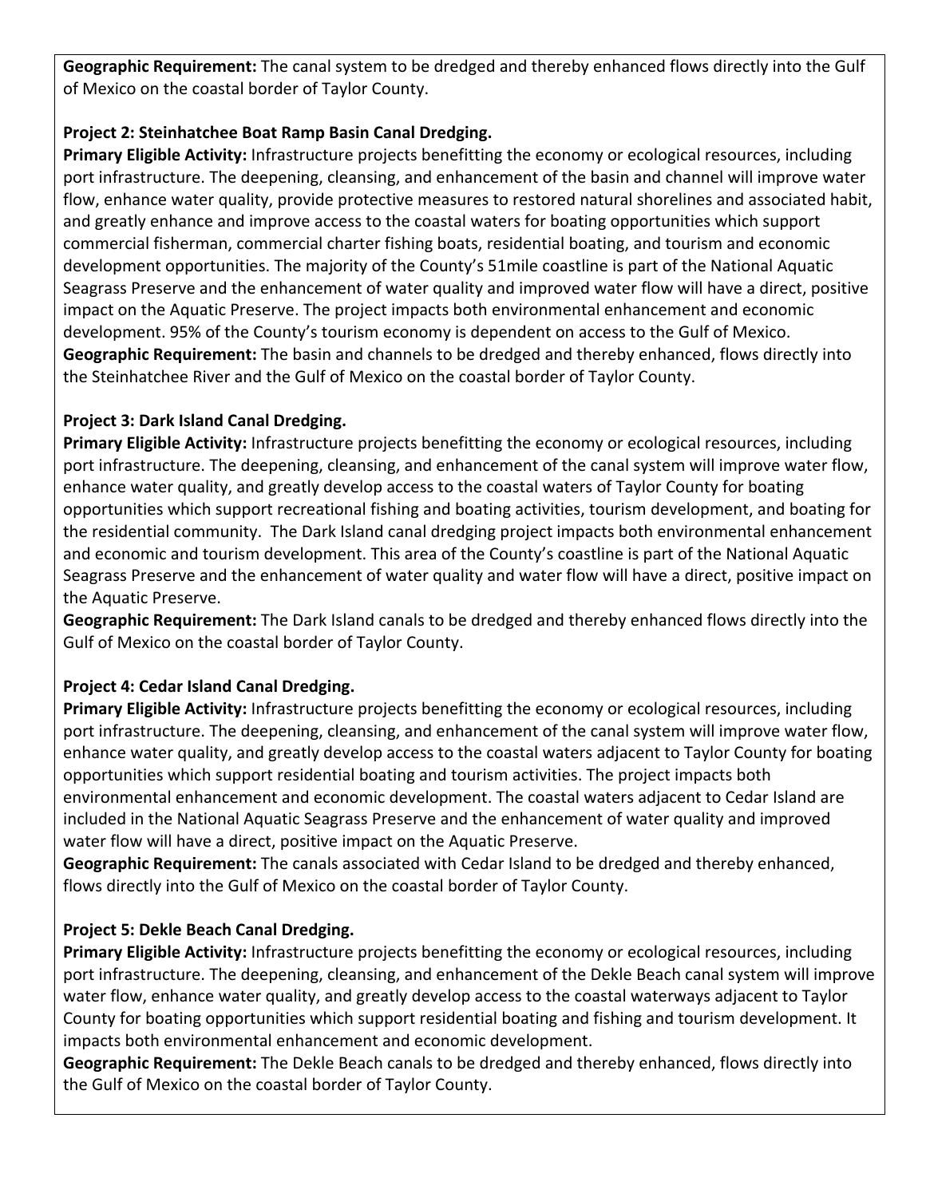**Geographic Requirement:** The canal system to be dredged and thereby enhanced flows directly into the Gulf of Mexico on the coastal border of Taylor County.

#### **Project 2: Steinhatchee Boat Ramp Basin Canal Dredging.**

**Primary Eligible Activity:** Infrastructure projects benefitting the economy or ecological resources, including port infrastructure. The deepening, cleansing, and enhancement of the basin and channel will improve water flow, enhance water quality, provide protective measures to restored natural shorelines and associated habit, and greatly enhance and improve access to the coastal waters for boating opportunities which support commercial fisherman, commercial charter fishing boats, residential boating, and tourism and economic development opportunities. The majority of the County's 51mile coastline is part of the National Aquatic Seagrass Preserve and the enhancement of water quality and improved water flow will have a direct, positive impact on the Aquatic Preserve. The project impacts both environmental enhancement and economic development. 95% of the County's tourism economy is dependent on access to the Gulf of Mexico. **Geographic Requirement:** The basin and channels to be dredged and thereby enhanced, flows directly into the Steinhatchee River and the Gulf of Mexico on the coastal border of Taylor County.

# **Project 3: Dark Island Canal Dredging.**

**Primary Eligible Activity:** Infrastructure projects benefitting the economy or ecological resources, including port infrastructure. The deepening, cleansing, and enhancement of the canal system will improve water flow, enhance water quality, and greatly develop access to the coastal waters of Taylor County for boating opportunities which support recreational fishing and boating activities, tourism development, and boating for the residential community. The Dark Island canal dredging project impacts both environmental enhancement and economic and tourism development. This area of the County's coastline is part of the National Aquatic Seagrass Preserve and the enhancement of water quality and water flow will have a direct, positive impact on the Aquatic Preserve.

**Geographic Requirement:** The Dark Island canals to be dredged and thereby enhanced flows directly into the Gulf of Mexico on the coastal border of Taylor County.

# **Project 4: Cedar Island Canal Dredging.**

**Primary Eligible Activity:** Infrastructure projects benefitting the economy or ecological resources, including port infrastructure. The deepening, cleansing, and enhancement of the canal system will improve water flow, enhance water quality, and greatly develop access to the coastal waters adjacent to Taylor County for boating opportunities which support residential boating and tourism activities. The project impacts both environmental enhancement and economic development. The coastal waters adjacent to Cedar Island are included in the National Aquatic Seagrass Preserve and the enhancement of water quality and improved water flow will have a direct, positive impact on the Aquatic Preserve.

**Geographic Requirement:** The canals associated with Cedar Island to be dredged and thereby enhanced, flows directly into the Gulf of Mexico on the coastal border of Taylor County.

# **Project 5: Dekle Beach Canal Dredging.**

**Primary Eligible Activity:** Infrastructure projects benefitting the economy or ecological resources, including port infrastructure. The deepening, cleansing, and enhancement of the Dekle Beach canal system will improve water flow, enhance water quality, and greatly develop access to the coastal waterways adjacent to Taylor County for boating opportunities which support residential boating and fishing and tourism development. It impacts both environmental enhancement and economic development.

**Geographic Requirement:** The Dekle Beach canals to be dredged and thereby enhanced, flows directly into the Gulf of Mexico on the coastal border of Taylor County.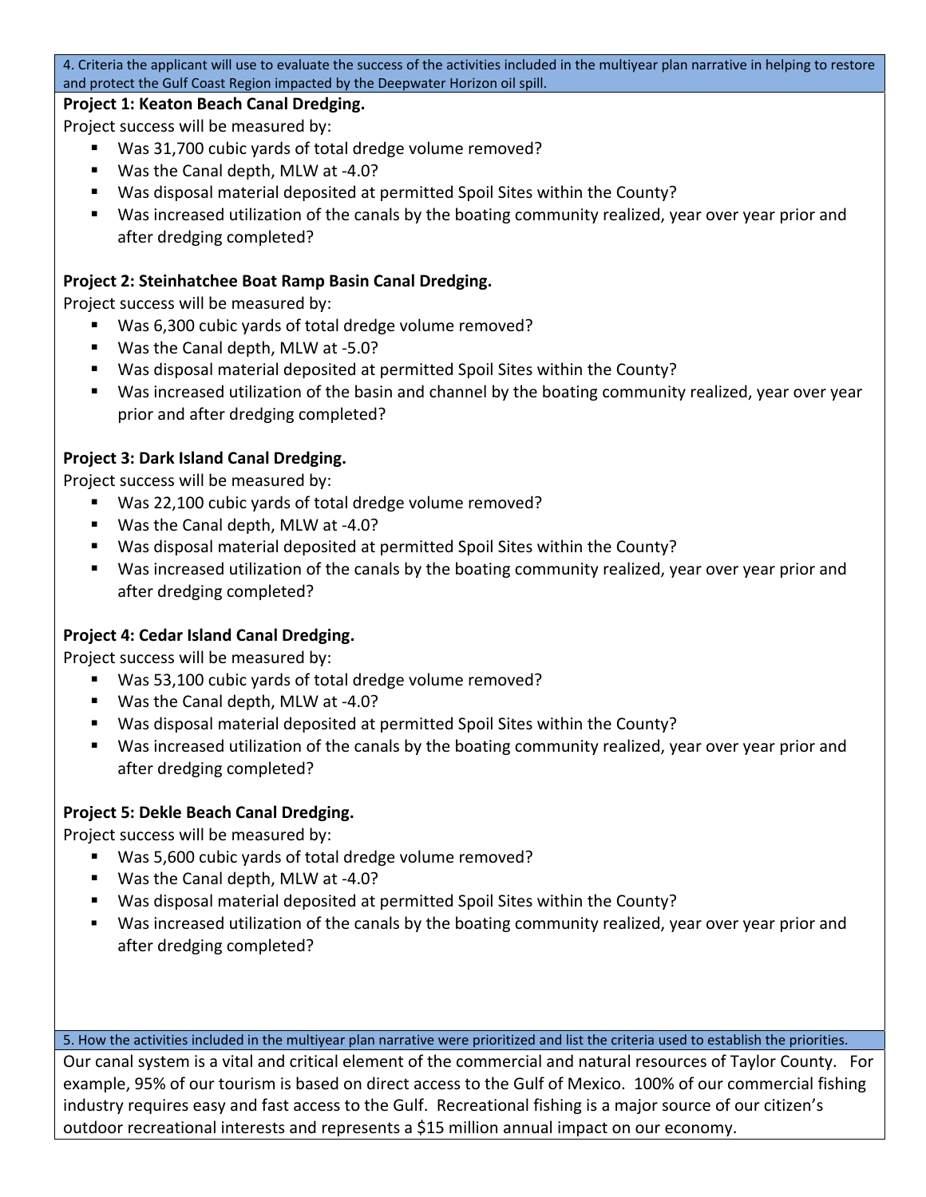4. Criteria the applicant will use to evaluate the success of the activities included in the multiyear plan narrative in helping to restore and protect the Gulf Coast Region impacted by the Deepwater Horizon oil spill.

#### **Project 1: Keaton Beach Canal Dredging.**

Project success will be measured by:

- Was 31,700 cubic yards of total dredge volume removed?
- Was the Canal depth, MLW at -4.0?
- Was disposal material deposited at permitted Spoil Sites within the County?
- Was increased utilization of the canals by the boating community realized, year over year prior and after dredging completed?

#### **Project 2: Steinhatchee Boat Ramp Basin Canal Dredging.**

Project success will be measured by:

- Was 6,300 cubic vards of total dredge volume removed?
- Was the Canal depth, MLW at -5.0?
- Was disposal material deposited at permitted Spoil Sites within the County?
- Was increased utilization of the basin and channel by the boating community realized, year over year prior and after dredging completed?

#### **Project 3: Dark Island Canal Dredging.**

Project success will be measured by:

- Was 22,100 cubic yards of total dredge volume removed?
- Was the Canal depth, MLW at -4.0?
- Was disposal material deposited at permitted Spoil Sites within the County?
- Was increased utilization of the canals by the boating community realized, year over year prior and after dredging completed?

#### **Project 4: Cedar Island Canal Dredging.**

Project success will be measured by:

- Was 53,100 cubic yards of total dredge volume removed?
- Was the Canal depth, MLW at -4.0?
- Was disposal material deposited at permitted Spoil Sites within the County?
- Was increased utilization of the canals by the boating community realized, year over year prior and after dredging completed?

#### **Project 5: Dekle Beach Canal Dredging.**

Project success will be measured by:

- Was 5,600 cubic yards of total dredge volume removed?
- Was the Canal depth, MLW at -4.0?
- Was disposal material deposited at permitted Spoil Sites within the County?
- Was increased utilization of the canals by the boating community realized, year over year prior and after dredging completed?

5. How the activities included in the multiyear plan narrative were prioritized and list the criteria used to establish the priorities.

Our canal system is a vital and critical element of the commercial and natural resources of Taylor County. For example, 95% of our tourism is based on direct access to the Gulf of Mexico. 100% of our commercial fishing industry requires easy and fast access to the Gulf. Recreational fishing is a major source of our citizen's outdoor recreational interests and represents a \$15 million annual impact on our economy.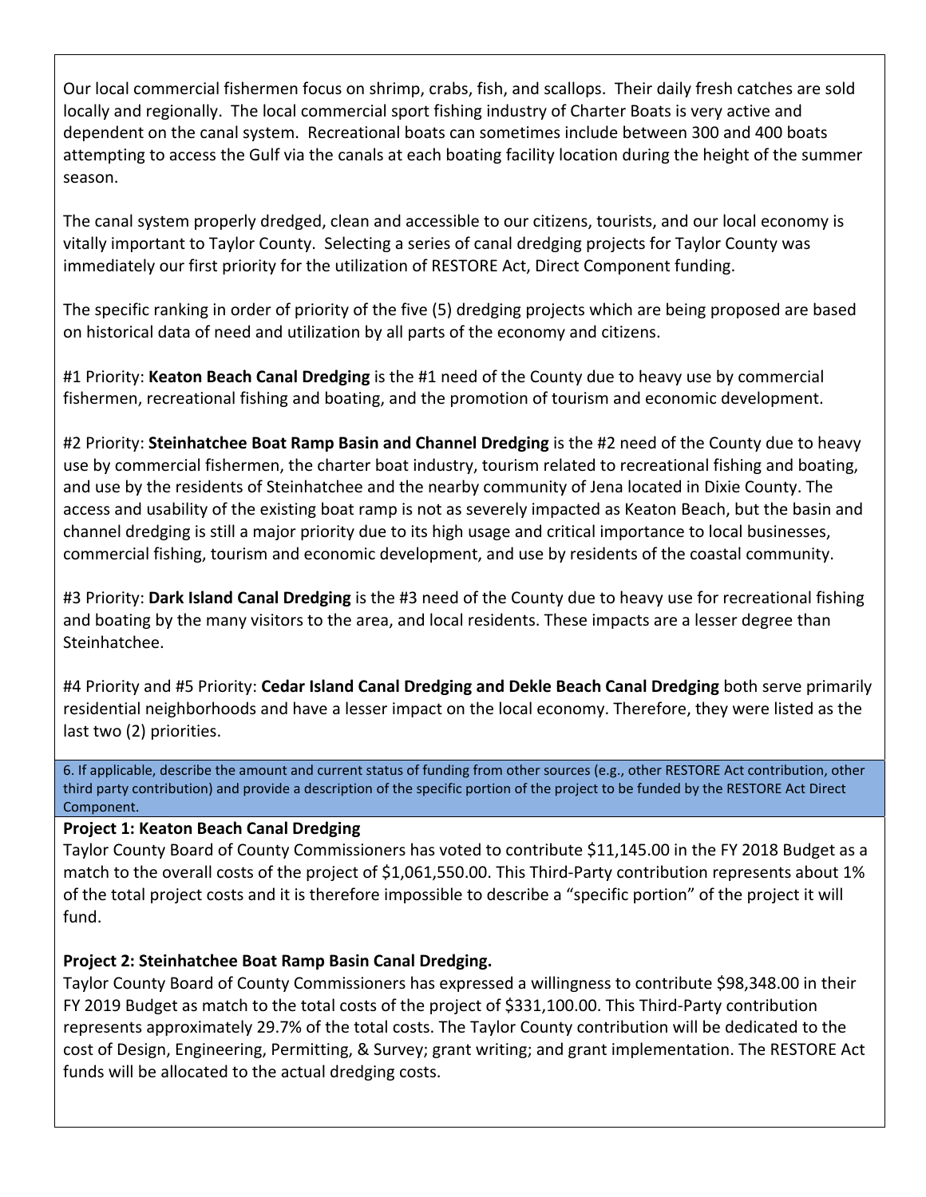Our local commercial fishermen focus on shrimp, crabs, fish, and scallops. Their daily fresh catches are sold locally and regionally. The local commercial sport fishing industry of Charter Boats is very active and dependent on the canal system. Recreational boats can sometimes include between 300 and 400 boats attempting to access the Gulf via the canals at each boating facility location during the height of the summer season.

The canal system properly dredged, clean and accessible to our citizens, tourists, and our local economy is vitally important to Taylor County. Selecting a series of canal dredging projects for Taylor County was immediately our first priority for the utilization of RESTORE Act, Direct Component funding.

The specific ranking in order of priority of the five (5) dredging projects which are being proposed are based on historical data of need and utilization by all parts of the economy and citizens.

#1 Priority: **Keaton Beach Canal Dredging** is the #1 need of the County due to heavy use by commercial fishermen, recreational fishing and boating, and the promotion of tourism and economic development.

#2 Priority: **Steinhatchee Boat Ramp Basin and Channel Dredging** is the #2 need of the County due to heavy use by commercial fishermen, the charter boat industry, tourism related to recreational fishing and boating, and use by the residents of Steinhatchee and the nearby community of Jena located in Dixie County. The access and usability of the existing boat ramp is not as severely impacted as Keaton Beach, but the basin and channel dredging is still a major priority due to its high usage and critical importance to local businesses, commercial fishing, tourism and economic development, and use by residents of the coastal community.

#3 Priority: **Dark Island Canal Dredging** is the #3 need of the County due to heavy use for recreational fishing and boating by the many visitors to the area, and local residents. These impacts are a lesser degree than Steinhatchee.

#4 Priority and #5 Priority: **Cedar Island Canal Dredging and Dekle Beach Canal Dredging** both serve primarily residential neighborhoods and have a lesser impact on the local economy. Therefore, they were listed as the last two (2) priorities.

6. If applicable, describe the amount and current status of funding from other sources (e.g., other RESTORE Act contribution, other third party contribution) and provide a description of the specific portion of the project to be funded by the RESTORE Act Direct Component.

#### **Project 1: Keaton Beach Canal Dredging**

Taylor County Board of County Commissioners has voted to contribute \$11,145.00 in the FY 2018 Budget as a match to the overall costs of the project of \$1,061,550.00. This Third-Party contribution represents about 1% of the total project costs and it is therefore impossible to describe a "specific portion" of the project it will fund.

# **Project 2: Steinhatchee Boat Ramp Basin Canal Dredging.**

Taylor County Board of County Commissioners has expressed a willingness to contribute \$98,348.00 in their FY 2019 Budget as match to the total costs of the project of \$331,100.00. This Third-Party contribution represents approximately 29.7% of the total costs. The Taylor County contribution will be dedicated to the cost of Design, Engineering, Permitting, & Survey; grant writing; and grant implementation. The RESTORE Act funds will be allocated to the actual dredging costs.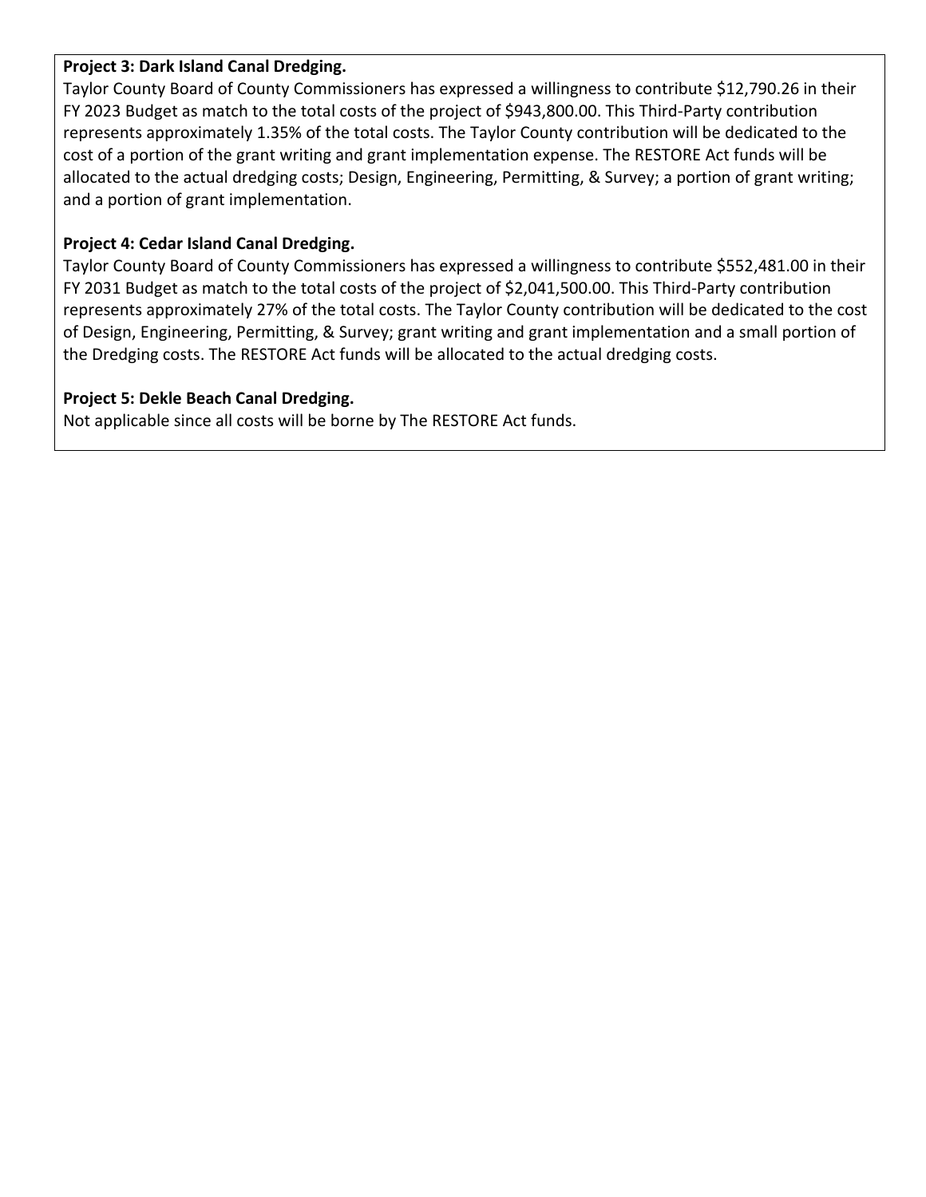#### **Project 3: Dark Island Canal Dredging.**

Taylor County Board of County Commissioners has expressed a willingness to contribute \$12,790.26 in their FY 2023 Budget as match to the total costs of the project of \$943,800.00. This Third‐Party contribution represents approximately 1.35% of the total costs. The Taylor County contribution will be dedicated to the cost of a portion of the grant writing and grant implementation expense. The RESTORE Act funds will be allocated to the actual dredging costs; Design, Engineering, Permitting, & Survey; a portion of grant writing; and a portion of grant implementation.

#### **Project 4: Cedar Island Canal Dredging.**

Taylor County Board of County Commissioners has expressed a willingness to contribute \$552,481.00 in their FY 2031 Budget as match to the total costs of the project of \$2,041,500.00. This Third‐Party contribution represents approximately 27% of the total costs. The Taylor County contribution will be dedicated to the cost of Design, Engineering, Permitting, & Survey; grant writing and grant implementation and a small portion of the Dredging costs. The RESTORE Act funds will be allocated to the actual dredging costs.

#### **Project 5: Dekle Beach Canal Dredging.**

Not applicable since all costs will be borne by The RESTORE Act funds.